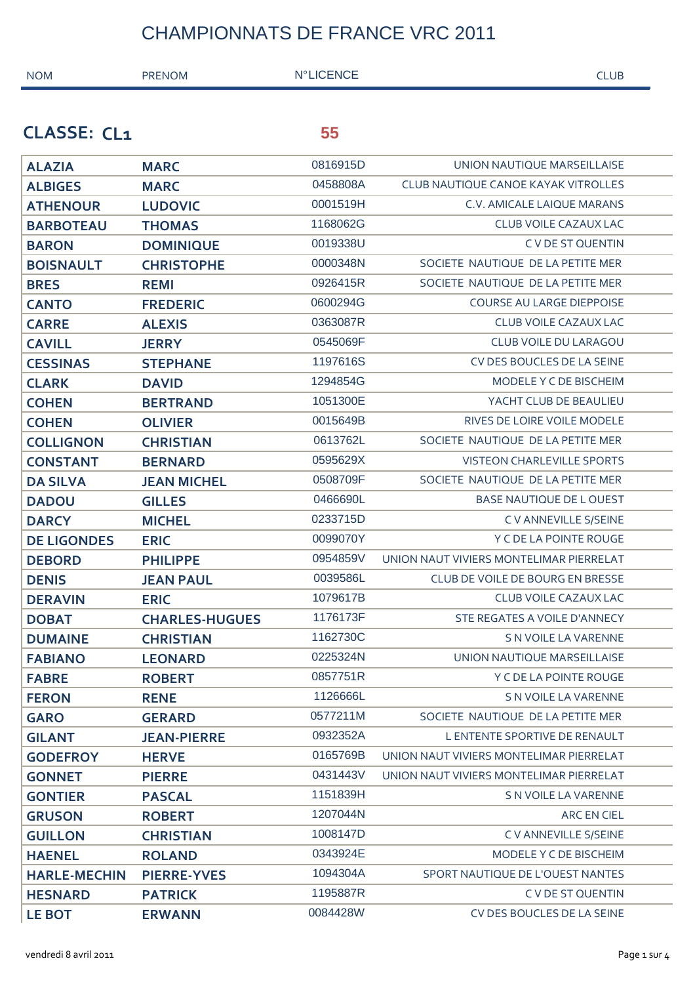| <b>NOM</b>          | <b>PRENOM</b>         | <b>N°LICENCE</b> | <b>CLUB</b>                                |  |
|---------------------|-----------------------|------------------|--------------------------------------------|--|
|                     |                       |                  |                                            |  |
| <b>CLASSE: CL1</b>  |                       | 55               |                                            |  |
| <b>ALAZIA</b>       | <b>MARC</b>           | 0816915D         | UNION NAUTIQUE MARSEILLAISE                |  |
| <b>ALBIGES</b>      | <b>MARC</b>           | 0458808A         | <b>CLUB NAUTIQUE CANOE KAYAK VITROLLES</b> |  |
| <b>ATHENOUR</b>     | <b>LUDOVIC</b>        | 0001519H         | C.V. AMICALE LAIQUE MARANS                 |  |
| <b>BARBOTEAU</b>    | <b>THOMAS</b>         | 1168062G         | <b>CLUB VOILE CAZAUX LAC</b>               |  |
| <b>BARON</b>        | <b>DOMINIQUE</b>      | 0019338U         | C V DE ST QUENTIN                          |  |
| <b>BOISNAULT</b>    | <b>CHRISTOPHE</b>     | 0000348N         | SOCIETE NAUTIQUE DE LA PETITE MER          |  |
| <b>BRES</b>         | <b>REMI</b>           | 0926415R         | SOCIETE NAUTIQUE DE LA PETITE MER          |  |
| <b>CANTO</b>        | <b>FREDERIC</b>       | 0600294G         | <b>COURSE AU LARGE DIEPPOISE</b>           |  |
| <b>CARRE</b>        | <b>ALEXIS</b>         | 0363087R         | <b>CLUB VOILE CAZAUX LAC</b>               |  |
| <b>CAVILL</b>       | <b>JERRY</b>          | 0545069F         | <b>CLUB VOILE DU LARAGOU</b>               |  |
| <b>CESSINAS</b>     | <b>STEPHANE</b>       | 1197616S         | CV DES BOUCLES DE LA SEINE                 |  |
| <b>CLARK</b>        | <b>DAVID</b>          | 1294854G         | MODELE Y C DE BISCHEIM                     |  |
| <b>COHEN</b>        | <b>BERTRAND</b>       | 1051300E         | YACHT CLUB DE BEAULIEU                     |  |
| <b>COHEN</b>        | <b>OLIVIER</b>        | 0015649B         | RIVES DE LOIRE VOILE MODELE                |  |
| <b>COLLIGNON</b>    | <b>CHRISTIAN</b>      | 0613762L         | SOCIETE NAUTIQUE DE LA PETITE MER          |  |
| <b>CONSTANT</b>     | <b>BERNARD</b>        | 0595629X         | <b>VISTEON CHARLEVILLE SPORTS</b>          |  |
| <b>DA SILVA</b>     | <b>JEAN MICHEL</b>    | 0508709F         | SOCIETE NAUTIQUE DE LA PETITE MER          |  |
| <b>DADOU</b>        | <b>GILLES</b>         | 0466690L         | BASE NAUTIQUE DE L OUEST                   |  |
| <b>DARCY</b>        | <b>MICHEL</b>         | 0233715D         | C V ANNEVILLE S/SEINE                      |  |
| <b>DE LIGONDES</b>  | <b>ERIC</b>           | 0099070Y         | Y C DE LA POINTE ROUGE                     |  |
| <b>DEBORD</b>       | <b>PHILIPPE</b>       | 0954859V         | UNION NAUT VIVIERS MONTELIMAR PIERRELAT    |  |
| <b>DENIS</b>        | <b>JEAN PAUL</b>      | 0039586L         | CLUB DE VOILE DE BOURG EN BRESSE           |  |
| <b>DERAVIN</b>      | <b>ERIC</b>           | 1079617B         | CLUB VOILE CAZAUX LAC                      |  |
| <b>DOBAT</b>        | <b>CHARLES-HUGUES</b> | 1176173F         | STE REGATES A VOILE D'ANNECY               |  |
| <b>DUMAINE</b>      | <b>CHRISTIAN</b>      | 1162730C         | S N VOILE LA VARENNE                       |  |
| <b>FABIANO</b>      | <b>LEONARD</b>        | 0225324N         | UNION NAUTIQUE MARSEILLAISE                |  |
| <b>FABRE</b>        | <b>ROBERT</b>         | 0857751R         | Y C DE LA POINTE ROUGE                     |  |
| <b>FERON</b>        | <b>RENE</b>           | 1126666L         | S N VOILE LA VARENNE                       |  |
| <b>GARO</b>         | <b>GERARD</b>         | 0577211M         | SOCIETE NAUTIQUE DE LA PETITE MER          |  |
| <b>GILANT</b>       | <b>JEAN-PIERRE</b>    | 0932352A         | L ENTENTE SPORTIVE DE RENAULT              |  |
| <b>GODEFROY</b>     | <b>HERVE</b>          | 0165769B         | UNION NAUT VIVIERS MONTELIMAR PIERRELAT    |  |
| <b>GONNET</b>       | <b>PIERRE</b>         | 0431443V         | UNION NAUT VIVIERS MONTELIMAR PIERRELAT    |  |
| <b>GONTIER</b>      | <b>PASCAL</b>         | 1151839H         | S N VOILE LA VARENNE                       |  |
| <b>GRUSON</b>       | <b>ROBERT</b>         | 1207044N         | <b>ARCEN CIEL</b>                          |  |
| <b>GUILLON</b>      | <b>CHRISTIAN</b>      | 1008147D         | C V ANNEVILLE S/SEINE                      |  |
| <b>HAENEL</b>       | <b>ROLAND</b>         | 0343924E         | <b>MODELE Y C DE BISCHEIM</b>              |  |
| <b>HARLE-MECHIN</b> | <b>PIERRE-YVES</b>    | 1094304A         | SPORT NAUTIQUE DE L'OUEST NANTES           |  |
| <b>HESNARD</b>      | <b>PATRICK</b>        | 1195887R         | C V DE ST QUENTIN                          |  |
| <b>LE BOT</b>       | <b>ERWANN</b>         | 0084428W         | CV DES BOUCLES DE LA SEINE                 |  |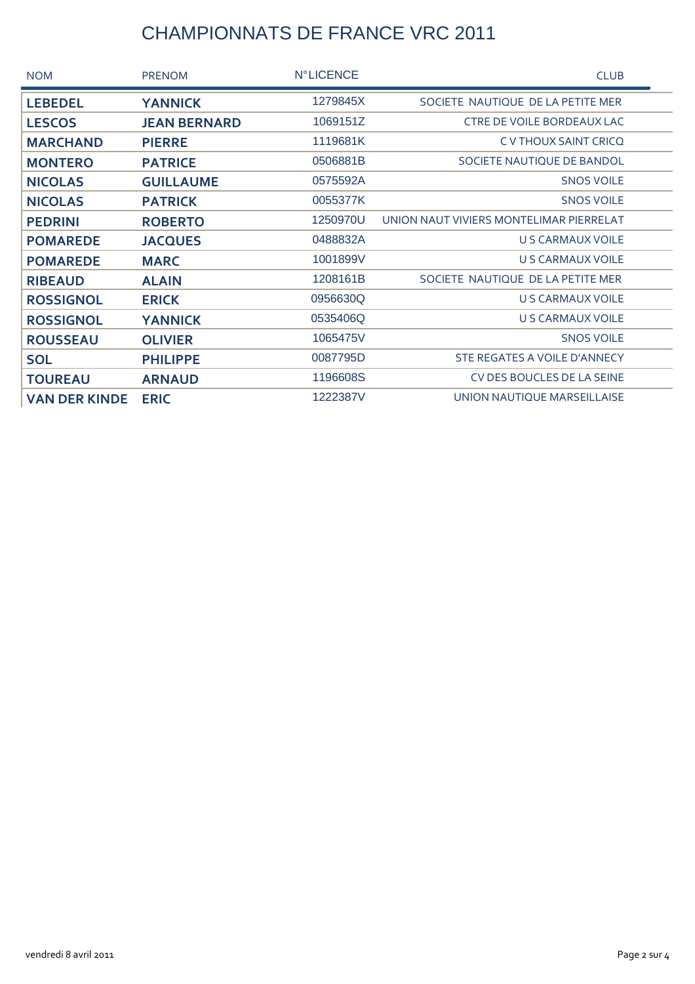| <b>NOM</b>           | <b>PRENOM</b>       | <b>N°LICENCE</b> | <b>CLUB</b>                             |  |
|----------------------|---------------------|------------------|-----------------------------------------|--|
| <b>LEBEDEL</b>       | <b>YANNICK</b>      | 1279845X         | SOCIETE NAUTIQUE DE LA PETITE MER       |  |
| <b>LESCOS</b>        | <b>JEAN BERNARD</b> | 1069151Z         | <b>CTRE DE VOILE BORDEAUX LAC</b>       |  |
| <b>MARCHAND</b>      | <b>PIERRE</b>       | 1119681K         | C V THOUX SAINT CRICQ                   |  |
| <b>MONTERO</b>       | <b>PATRICE</b>      | 0506881B         | SOCIETE NAUTIQUE DE BANDOL              |  |
| <b>NICOLAS</b>       | <b>GUILLAUME</b>    | 0575592A         | <b>SNOS VOILE</b>                       |  |
| <b>NICOLAS</b>       | <b>PATRICK</b>      | 0055377K         | <b>SNOS VOILE</b>                       |  |
| <b>PEDRINI</b>       | <b>ROBERTO</b>      | 1250970U         | UNION NAUT VIVIERS MONTELIMAR PIERRELAT |  |
| <b>POMAREDE</b>      | <b>JACQUES</b>      | 0488832A         | U S CARMAUX VOILE                       |  |
| <b>POMAREDE</b>      | <b>MARC</b>         | 1001899V         | U S CARMAUX VOILE                       |  |
| <b>RIBEAUD</b>       | <b>ALAIN</b>        | 1208161B         | SOCIETE NAUTIQUE DE LA PETITE MER       |  |
| <b>ROSSIGNOL</b>     | <b>ERICK</b>        | 0956630Q         | U S CARMAUX VOILE                       |  |
| <b>ROSSIGNOL</b>     | <b>YANNICK</b>      | 0535406Q         | U S CARMAUX VOILE                       |  |
| <b>ROUSSEAU</b>      | <b>OLIVIER</b>      | 1065475V         | <b>SNOS VOILE</b>                       |  |
| <b>SOL</b>           | <b>PHILIPPE</b>     | 0087795D         | STE REGATES A VOILE D'ANNECY            |  |
| <b>TOUREAU</b>       | <b>ARNAUD</b>       | 1196608S         | CV DES BOUCLES DE LA SEINE              |  |
| <b>VAN DER KINDE</b> | <b>ERIC</b>         | 1222387V         | UNION NAUTIQUE MARSEILLAISE             |  |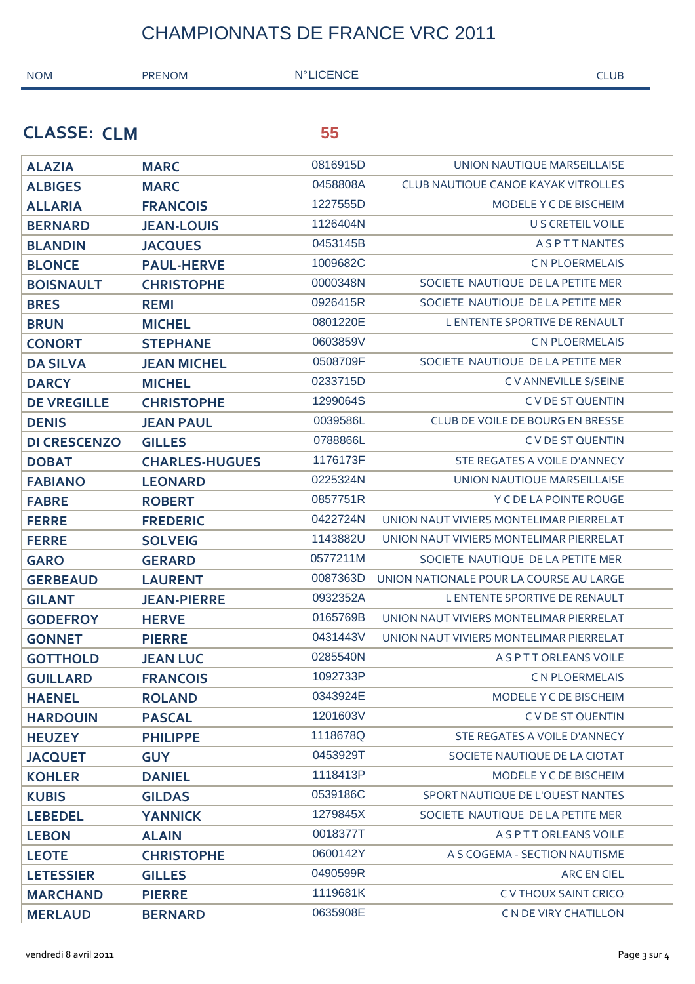| <b>NOM</b>          | <b>PRENOM</b>         | <b>N°LICENCE</b> | <b>CLUB</b>                             |
|---------------------|-----------------------|------------------|-----------------------------------------|
|                     |                       |                  |                                         |
| <b>CLASSE: CLM</b>  |                       | 55               |                                         |
| <b>ALAZIA</b>       | <b>MARC</b>           | 0816915D         | UNION NAUTIQUE MARSEILLAISE             |
| <b>ALBIGES</b>      | <b>MARC</b>           | 0458808A         | CLUB NAUTIQUE CANOE KAYAK VITROLLES     |
| <b>ALLARIA</b>      | <b>FRANCOIS</b>       | 1227555D         | MODELE Y C DE BISCHEIM                  |
| <b>BERNARD</b>      | <b>JEAN-LOUIS</b>     | 1126404N         | <b>U S CRETEIL VOILE</b>                |
| <b>BLANDIN</b>      | <b>JACQUES</b>        | 0453145B         | ASPTTNANTES                             |
| <b>BLONCE</b>       | <b>PAUL-HERVE</b>     | 1009682C         | <b>CN PLOERMELAIS</b>                   |
| <b>BOISNAULT</b>    | <b>CHRISTOPHE</b>     | 0000348N         | SOCIETE NAUTIQUE DE LA PETITE MER       |
| <b>BRES</b>         | <b>REMI</b>           | 0926415R         | SOCIETE NAUTIQUE DE LA PETITE MER       |
| <b>BRUN</b>         | <b>MICHEL</b>         | 0801220E         | L ENTENTE SPORTIVE DE RENAULT           |
| <b>CONORT</b>       | <b>STEPHANE</b>       | 0603859V         | <b>CN PLOERMELAIS</b>                   |
| <b>DA SILVA</b>     | <b>JEAN MICHEL</b>    | 0508709F         | SOCIETE NAUTIQUE DE LA PETITE MER       |
| <b>DARCY</b>        | <b>MICHEL</b>         | 0233715D         | C V ANNEVILLE S/SEINE                   |
| <b>DE VREGILLE</b>  | <b>CHRISTOPHE</b>     | 1299064S         | C V DE ST QUENTIN                       |
| <b>DENIS</b>        | <b>JEAN PAUL</b>      | 0039586L         | CLUB DE VOILE DE BOURG EN BRESSE        |
| <b>DI CRESCENZO</b> | <b>GILLES</b>         | 0788866L         | C V DE ST QUENTIN                       |
| <b>DOBAT</b>        | <b>CHARLES-HUGUES</b> | 1176173F         | STE REGATES A VOILE D'ANNECY            |
| <b>FABIANO</b>      | <b>LEONARD</b>        | 0225324N         | UNION NAUTIQUE MARSEILLAISE             |
| <b>FABRE</b>        | <b>ROBERT</b>         | 0857751R         | Y C DE LA POINTE ROUGE                  |
| <b>FERRE</b>        | <b>FREDERIC</b>       | 0422724N         | UNION NAUT VIVIERS MONTELIMAR PIERRELAT |
| <b>FERRE</b>        | <b>SOLVEIG</b>        | 1143882U         | UNION NAUT VIVIERS MONTELIMAR PIERRELAT |
| <b>GARO</b>         | <b>GERARD</b>         | 0577211M         | SOCIETE NAUTIQUE DE LA PETITE MER       |
| <b>GERBEAUD</b>     | <b>LAURENT</b>        | 0087363D         | UNION NATIONALE POUR LA COURSE AU LARGE |
| <b>GILANT</b>       | <b>JEAN-PIERRE</b>    | 0932352A         | L ENTENTE SPORTIVE DE RENAULT           |
| <b>GODEFROY</b>     | <b>HERVE</b>          | 0165769B         | UNION NAUT VIVIERS MONTELIMAR PIERRELAT |
| <b>GONNET</b>       | <b>PIERRE</b>         | 0431443V         | UNION NAUT VIVIERS MONTELIMAR PIERRELAT |
| <b>GOTTHOLD</b>     | <b>JEAN LUC</b>       | 0285540N         | A S P T T ORLEANS VOILE                 |
| <b>GUILLARD</b>     | <b>FRANCOIS</b>       | 1092733P         | <b>CN PLOERMELAIS</b>                   |
| <b>HAENEL</b>       | <b>ROLAND</b>         | 0343924E         | MODELE Y C DE BISCHEIM                  |
| <b>HARDOUIN</b>     | <b>PASCAL</b>         | 1201603V         | C V DE ST QUENTIN                       |
| <b>HEUZEY</b>       | <b>PHILIPPE</b>       | 1118678Q         | STE REGATES A VOILE D'ANNECY            |
| <b>JACQUET</b>      | <b>GUY</b>            | 0453929T         | SOCIETE NAUTIQUE DE LA CIOTAT           |
| <b>KOHLER</b>       | <b>DANIEL</b>         | 1118413P         | MODELE Y C DE BISCHEIM                  |
| <b>KUBIS</b>        | <b>GILDAS</b>         | 0539186C         | SPORT NAUTIQUE DE L'OUEST NANTES        |
| <b>LEBEDEL</b>      | <b>YANNICK</b>        | 1279845X         | SOCIETE NAUTIQUE DE LA PETITE MER       |
| <b>LEBON</b>        | <b>ALAIN</b>          | 0018377T         | A S P T T ORLEANS VOILE                 |
| <b>LEOTE</b>        | <b>CHRISTOPHE</b>     | 0600142Y         | A S COGEMA - SECTION NAUTISME           |
| <b>LETESSIER</b>    | <b>GILLES</b>         | 0490599R         | ARC EN CIEL                             |
| <b>MARCHAND</b>     | <b>PIERRE</b>         | 1119681K         | C V THOUX SAINT CRICQ                   |
| <b>MERLAUD</b>      | <b>BERNARD</b>        | 0635908E         | C N DE VIRY CHATILLON                   |